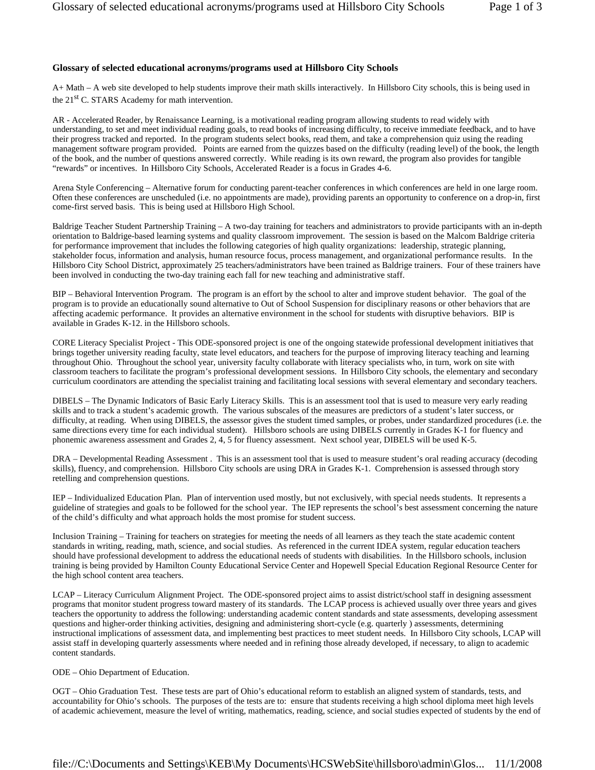## **Glossary of selected educational acronyms/programs used at Hillsboro City Schools**

A+ Math – A web site developed to help students improve their math skills interactively. In Hillsboro City schools, this is being used in the 21<sup>st</sup> C. STARS Academy for math intervention.

AR - Accelerated Reader, by Renaissance Learning, is a motivational reading program allowing students to read widely with understanding, to set and meet individual reading goals, to read books of increasing difficulty, to receive immediate feedback, and to have their progress tracked and reported. In the program students select books, read them, and take a comprehension quiz using the reading management software program provided. Points are earned from the quizzes based on the difficulty (reading level) of the book, the length of the book, and the number of questions answered correctly. While reading is its own reward, the program also provides for tangible "rewards" or incentives. In Hillsboro City Schools, Accelerated Reader is a focus in Grades 4-6.

Arena Style Conferencing – Alternative forum for conducting parent-teacher conferences in which conferences are held in one large room. Often these conferences are unscheduled (i.e. no appointments are made), providing parents an opportunity to conference on a drop-in, first come-first served basis. This is being used at Hillsboro High School.

Baldrige Teacher Student Partnership Training – A two-day training for teachers and administrators to provide participants with an in-depth orientation to Baldrige-based learning systems and quality classroom improvement. The session is based on the Malcom Baldrige criteria for performance improvement that includes the following categories of high quality organizations: leadership, strategic planning, stakeholder focus, information and analysis, human resource focus, process management, and organizational performance results. In the Hillsboro City School District, approximately 25 teachers/administrators have been trained as Baldrige trainers. Four of these trainers have been involved in conducting the two-day training each fall for new teaching and administrative staff.

BIP – Behavioral Intervention Program. The program is an effort by the school to alter and improve student behavior. The goal of the program is to provide an educationally sound alternative to Out of School Suspension for disciplinary reasons or other behaviors that are affecting academic performance. It provides an alternative environment in the school for students with disruptive behaviors. BIP is available in Grades K-12. in the Hillsboro schools.

CORE Literacy Specialist Project - This ODE-sponsored project is one of the ongoing statewide professional development initiatives that brings together university reading faculty, state level educators, and teachers for the purpose of improving literacy teaching and learning throughout Ohio. Throughout the school year, university faculty collaborate with literacy specialists who, in turn, work on site with classroom teachers to facilitate the program's professional development sessions. In Hillsboro City schools, the elementary and secondary curriculum coordinators are attending the specialist training and facilitating local sessions with several elementary and secondary teachers.

DIBELS – The Dynamic Indicators of Basic Early Literacy Skills. This is an assessment tool that is used to measure very early reading skills and to track a student's academic growth. The various subscales of the measures are predictors of a student's later success, or difficulty, at reading. When using DIBELS, the assessor gives the student timed samples, or probes, under standardized procedures (i.e. the same directions every time for each individual student). Hillsboro schools are using DIBELS currently in Grades K-1 for fluency and phonemic awareness assessment and Grades 2, 4, 5 for fluency assessment. Next school year, DIBELS will be used K-5.

DRA – Developmental Reading Assessment . This is an assessment tool that is used to measure student's oral reading accuracy (decoding skills), fluency, and comprehension. Hillsboro City schools are using DRA in Grades K-1. Comprehension is assessed through story retelling and comprehension questions.

IEP – Individualized Education Plan. Plan of intervention used mostly, but not exclusively, with special needs students. It represents a guideline of strategies and goals to be followed for the school year. The IEP represents the school's best assessment concerning the nature of the child's difficulty and what approach holds the most promise for student success.

Inclusion Training – Training for teachers on strategies for meeting the needs of all learners as they teach the state academic content standards in writing, reading, math, science, and social studies. As referenced in the current IDEA system, regular education teachers should have professional development to address the educational needs of students with disabilities. In the Hillsboro schools, inclusion training is being provided by Hamilton County Educational Service Center and Hopewell Special Education Regional Resource Center for the high school content area teachers.

LCAP – Literacy Curriculum Alignment Project. The ODE-sponsored project aims to assist district/school staff in designing assessment programs that monitor student progress toward mastery of its standards. The LCAP process is achieved usually over three years and gives teachers the opportunity to address the following: understanding academic content standards and state assessments, developing assessment questions and higher-order thinking activities, designing and administering short-cycle (e.g. quarterly ) assessments, determining instructional implications of assessment data, and implementing best practices to meet student needs. In Hillsboro City schools, LCAP will assist staff in developing quarterly assessments where needed and in refining those already developed, if necessary, to align to academic content standards.

ODE – Ohio Department of Education.

OGT – Ohio Graduation Test. These tests are part of Ohio's educational reform to establish an aligned system of standards, tests, and accountability for Ohio's schools. The purposes of the tests are to: ensure that students receiving a high school diploma meet high levels of academic achievement, measure the level of writing, mathematics, reading, science, and social studies expected of students by the end of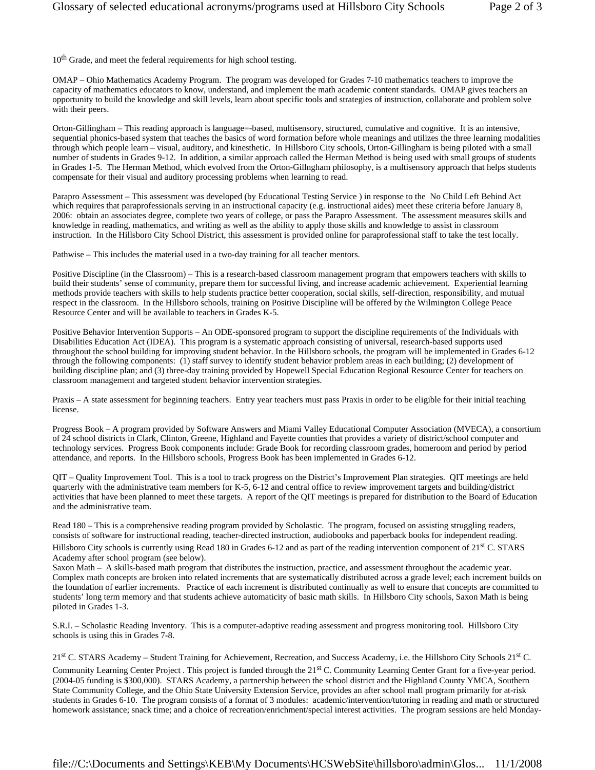10<sup>th</sup> Grade, and meet the federal requirements for high school testing.

OMAP – Ohio Mathematics Academy Program. The program was developed for Grades 7-10 mathematics teachers to improve the capacity of mathematics educators to know, understand, and implement the math academic content standards. OMAP gives teachers an opportunity to build the knowledge and skill levels, learn about specific tools and strategies of instruction, collaborate and problem solve with their peers.

Orton-Gillingham – This reading approach is language=-based, multisensory, structured, cumulative and cognitive. It is an intensive, sequential phonics-based system that teaches the basics of word formation before whole meanings and utilizes the three learning modalities through which people learn – visual, auditory, and kinesthetic. In Hillsboro City schools, Orton-Gillingham is being piloted with a small number of students in Grades 9-12. In addition, a similar approach called the Herman Method is being used with small groups of students in Grades 1-5. The Herman Method, which evolved from the Orton-Gillngham philosophy, is a multisensory approach that helps students compensate for their visual and auditory processing problems when learning to read.

Parapro Assessment – This assessment was developed (by Educational Testing Service ) in response to the No Child Left Behind Act which requires that paraprofessionals serving in an instructional capacity (e.g. instructional aides) meet these criteria before January 8, 2006: obtain an associates degree, complete two years of college, or pass the Parapro Assessment. The assessment measures skills and knowledge in reading, mathematics, and writing as well as the ability to apply those skills and knowledge to assist in classroom instruction. In the Hillsboro City School District, this assessment is provided online for paraprofessional staff to take the test locally.

Pathwise – This includes the material used in a two-day training for all teacher mentors.

Positive Discipline (in the Classroom) – This is a research-based classroom management program that empowers teachers with skills to build their students' sense of community, prepare them for successful living, and increase academic achievement. Experiential learning methods provide teachers with skills to help students practice better cooperation, social skills, self-direction, responsibility, and mutual respect in the classroom. In the Hillsboro schools, training on Positive Discipline will be offered by the Wilmington College Peace Resource Center and will be available to teachers in Grades K-5.

Positive Behavior Intervention Supports – An ODE-sponsored program to support the discipline requirements of the Individuals with Disabilities Education Act (IDEA). This program is a systematic approach consisting of universal, research-based supports used throughout the school building for improving student behavior. In the Hillsboro schools, the program will be implemented in Grades 6-12 through the following components: (1) staff survey to identify student behavior problem areas in each building; (2) development of building discipline plan; and (3) three-day training provided by Hopewell Special Education Regional Resource Center for teachers on classroom management and targeted student behavior intervention strategies.

Praxis – A state assessment for beginning teachers. Entry year teachers must pass Praxis in order to be eligible for their initial teaching license.

Progress Book – A program provided by Software Answers and Miami Valley Educational Computer Association (MVECA), a consortium of 24 school districts in Clark, Clinton, Greene, Highland and Fayette counties that provides a variety of district/school computer and technology services. Progress Book components include: Grade Book for recording classroom grades, homeroom and period by period attendance, and reports. In the Hillsboro schools, Progress Book has been implemented in Grades 6-12.

QIT – Quality Improvement Tool. This is a tool to track progress on the District's Improvement Plan strategies. QIT meetings are held quarterly with the administrative team members for K-5, 6-12 and central office to review improvement targets and building/district activities that have been planned to meet these targets. A report of the QIT meetings is prepared for distribution to the Board of Education and the administrative team.

Read 180 – This is a comprehensive reading program provided by Scholastic. The program, focused on assisting struggling readers, consists of software for instructional reading, teacher-directed instruction, audiobooks and paperback books for independent reading.

Hillsboro City schools is currently using Read 180 in Grades 6-12 and as part of the reading intervention component of 21<sup>st</sup> C. STARS Academy after school program (see below).

Saxon Math – A skills-based math program that distributes the instruction, practice, and assessment throughout the academic year. Complex math concepts are broken into related increments that are systematically distributed across a grade level; each increment builds on the foundation of earlier increments. Practice of each increment is distributed continually as well to ensure that concepts are committed to students' long term memory and that students achieve automaticity of basic math skills. In Hillsboro City schools, Saxon Math is being piloted in Grades 1-3.

S.R.I. – Scholastic Reading Inventory. This is a computer-adaptive reading assessment and progress monitoring tool. Hillsboro City schools is using this in Grades 7-8.

 $21<sup>st</sup>$  C. STARS Academy – Student Training for Achievement, Recreation, and Success Academy, i.e. the Hillsboro City Schools  $21<sup>st</sup>$  C.

Community Learning Center Project . This project is funded through the 21<sup>st</sup> C. Community Learning Center Grant for a five-year period. (2004-05 funding is \$300,000). STARS Academy, a partnership between the school district and the Highland County YMCA, Southern State Community College, and the Ohio State University Extension Service, provides an after school mall program primarily for at-risk students in Grades 6-10. The program consists of a format of 3 modules: academic/intervention/tutoring in reading and math or structured homework assistance; snack time; and a choice of recreation/enrichment/special interest activities. The program sessions are held Monday